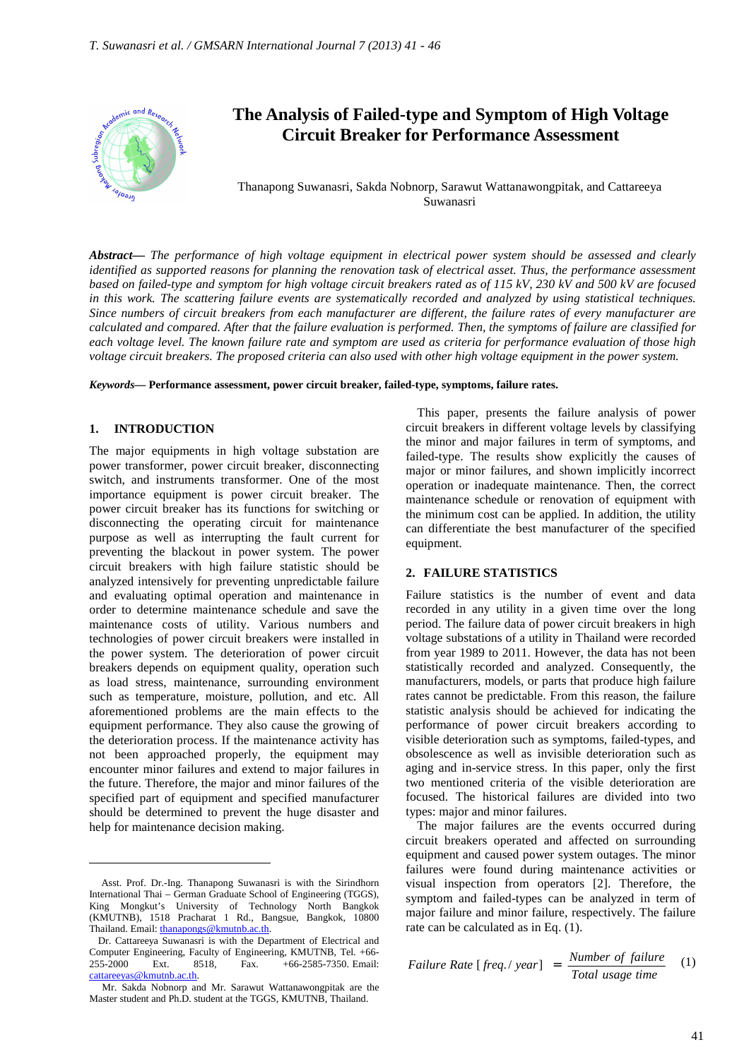

# **The Analysis of Failed-type and Symptom of High Voltage Circuit Breaker for Performance Assessment**

Thanapong Suwanasri, Sakda Nobnorp, Sarawut Wattanawongpitak, and Cattareeya Suwanasri

*Abstract***—** *The performance of high voltage equipment in electrical power system should be assessed and clearly identified as supported reasons for planning the renovation task of electrical asset. Thus, the performance assessment based on failed-type and symptom for high voltage circuit breakers rated as of 115 kV, 230 kV and 500 kV are focused in this work. The scattering failure events are systematically recorded and analyzed by using statistical techniques. Since numbers of circuit breakers from each manufacturer are different, the failure rates of every manufacturer are calculated and compared. After that the failure evaluation is performed. Then, the symptoms of failure are classified for each voltage level. The known failure rate and symptom are used as criteria for performance evaluation of those high voltage circuit breakers. The proposed criteria can also used with other high voltage equipment in the power system.*

*Keywords***— Performance assessment, power circuit breaker, failed-type, symptoms, failure rates.**

## **1. INTRODUCTION**

 $\overline{a}$ 

The major equipments in high voltage substation are power transformer, power circuit breaker, disconnecting switch, and instruments transformer. One of the most importance equipment is power circuit breaker. The power circuit breaker has its functions for switching or disconnecting the operating circuit for maintenance purpose as well as interrupting the fault current for preventing the blackout in power system. The power circuit breakers with high failure statistic should be analyzed intensively for preventing unpredictable failure and evaluating optimal operation and maintenance in order to determine maintenance schedule and save the maintenance costs of utility. Various numbers and technologies of power circuit breakers were installed in the power system. The deterioration of power circuit breakers depends on equipment quality, operation such as load stress, maintenance, surrounding environment such as temperature, moisture, pollution, and etc. All aforementioned problems are the main effects to the equipment performance. They also cause the growing of the deterioration process. If the maintenance activity has not been approached properly, the equipment may encounter minor failures and extend to major failures in the future. Therefore, the major and minor failures of the specified part of equipment and specified manufacturer should be determined to prevent the huge disaster and help for maintenance decision making.

This paper, presents the failure analysis of power circuit breakers in different voltage levels by classifying the minor and major failures in term of symptoms, and failed-type. The results show explicitly the causes of major or minor failures, and shown implicitly incorrect operation or inadequate maintenance. Then, the correct maintenance schedule or renovation of equipment with the minimum cost can be applied. In addition, the utility can differentiate the best manufacturer of the specified equipment.

# **2. FAILURE STATISTICS**

Failure statistics is the number of event and data recorded in any utility in a given time over the long period. The failure data of power circuit breakers in high voltage substations of a utility in Thailand were recorded from year 1989 to 2011. However, the data has not been statistically recorded and analyzed. Consequently, the manufacturers, models, or parts that produce high failure rates cannot be predictable. From this reason, the failure statistic analysis should be achieved for indicating the performance of power circuit breakers according to visible deterioration such as symptoms, failed-types, and obsolescence as well as invisible deterioration such as aging and in-service stress. In this paper, only the first two mentioned criteria of the visible deterioration are focused. The historical failures are divided into two types: major and minor failures.

The major failures are the events occurred during circuit breakers operated and affected on surrounding equipment and caused power system outages. The minor failures were found during maintenance activities or visual inspection from operators [2]. Therefore, the symptom and failed-types can be analyzed in term of major failure and minor failure, respectively. The failure rate can be calculated as in Eq. (1).

*Failure Rate [freq./ year]* = 
$$
\frac{Number of failure}{Total usage time}
$$
 (1)

Asst. Prof. Dr.-Ing. Thanapong Suwanasri is with the Sirindhorn International Thai – German Graduate School of Engineering (TGGS), King Mongkut's University of Technology North Bangkok (KMUTNB), 1518 Pracharat 1 Rd., Bangsue, Bangkok, 10800 Thailand. Email: thanapongs@kmutnb.ac.th.

Dr. Cattareeya Suwanasri is with the Department of Electrical and Computer Engineering, Faculty of Engineering, KMUTNB, Tel. +66- 255-2000 Ext. 8518, Fax. +66-2585-7350. Email: cattareeyas@kmutnb.ac.th.

Mr. Sakda Nobnorp and Mr. Sarawut Wattanawongpitak are the Master student and Ph.D. student at the TGGS, KMUTNB, Thailand.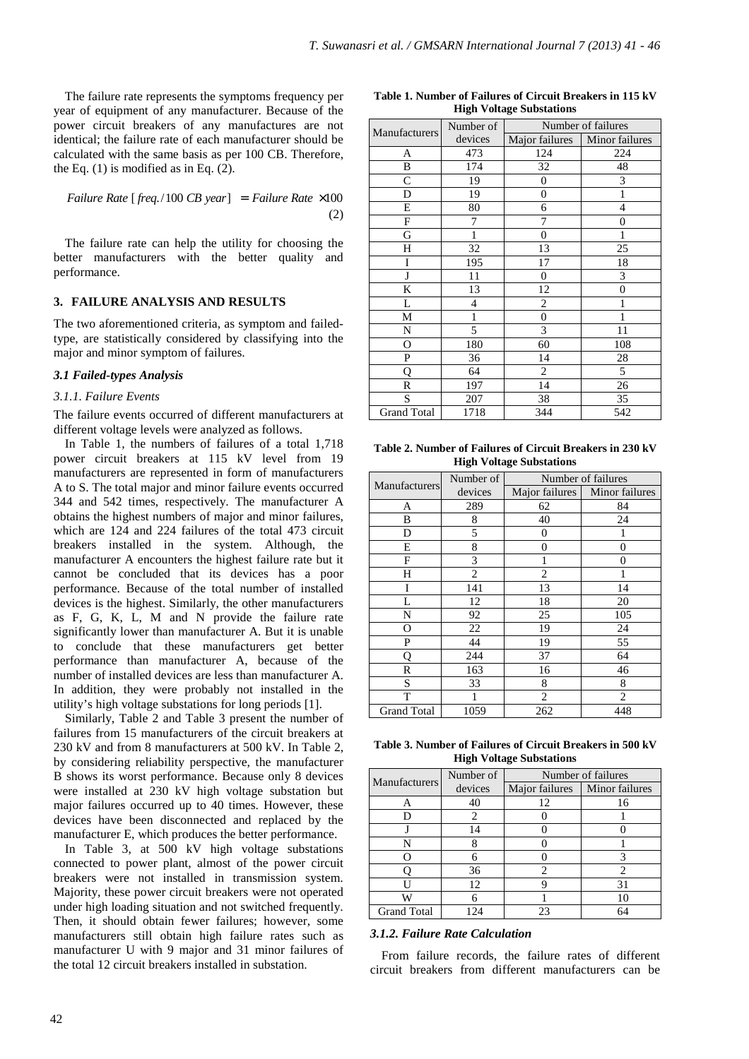The failure rate represents the symptoms frequency per year of equipment of any manufacturer. Because of the power circuit breakers of any manufactures are not identical; the failure rate of each manufacturer should be calculated with the same basis as per 100 CB. Therefore, the Eq.  $(1)$  is modified as in Eq.  $(2)$ .

\n*Failure Rate [freq. / 100 CB year] = Failure Rate* 
$$
\times 100
$$
 (2)\n

The failure rate can help the utility for choosing the better manufacturers with the better quality and performance.

## **3. FAILURE ANALYSIS AND RESULTS**

The two aforementioned criteria, as symptom and failedtype, are statistically considered by classifying into the major and minor symptom of failures.

#### *3.1 Failed-types Analysis*

## *3.1.1. Failure Events*

The failure events occurred of different manufacturers at different voltage levels were analyzed as follows.

In Table 1, the numbers of failures of a total 1,718 power circuit breakers at 115 kV level from 19 manufacturers are represented in form of manufacturers A to S. The total major and minor failure events occurred 344 and 542 times, respectively. The manufacturer A obtains the highest numbers of major and minor failures, which are 124 and 224 failures of the total 473 circuit breakers installed in the system. Although, the manufacturer A encounters the highest failure rate but it cannot be concluded that its devices has a poor performance. Because of the total number of installed devices is the highest. Similarly, the other manufacturers as F, G, K, L, M and N provide the failure rate significantly lower than manufacturer A. But it is unable to conclude that these manufacturers get better performance than manufacturer A, because of the number of installed devices are less than manufacturer A. In addition, they were probably not installed in the utility's high voltage substations for long periods [1].

Similarly, Table 2 and Table 3 present the number of failures from 15 manufacturers of the circuit breakers at 230 kV and from 8 manufacturers at 500 kV. In Table 2, by considering reliability perspective, the manufacturer B shows its worst performance. Because only 8 devices were installed at 230 kV high voltage substation but major failures occurred up to 40 times. However, these devices have been disconnected and replaced by the manufacturer E, which produces the better performance.

In Table 3, at 500 kV high voltage substations connected to power plant, almost of the power circuit breakers were not installed in transmission system. Majority, these power circuit breakers were not operated under high loading situation and not switched frequently. Then, it should obtain fewer failures; however, some manufacturers still obtain high failure rates such as manufacturer U with 9 major and 31 minor failures of the total 12 circuit breakers installed in substation.

| Table 1. Number of Failures of Circuit Breakers in 115 kV |
|-----------------------------------------------------------|
| <b>High Voltage Substations</b>                           |

|                    | Number of      | Number of failures |                |
|--------------------|----------------|--------------------|----------------|
| Manufacturers      | devices        | Major failures     | Minor failures |
| A                  | 473            | 124                | 224            |
| B                  | 174            | 32                 | 48             |
| C                  | 19             | $\overline{0}$     | 3              |
| D                  | 19             | $\overline{0}$     | 1              |
| Е                  | 80             | 6                  | $\overline{4}$ |
| F                  | 7              | 7                  | $\overline{0}$ |
| G                  | 1              | $\overline{0}$     |                |
| Н                  | 32             | 13                 | 25             |
| I                  | 195            | 17                 | 18             |
| J                  | 11             | 0                  | 3              |
| K                  | 13             | 12                 | 0              |
| L                  | $\overline{4}$ | $\overline{c}$     | 1              |
| M                  | 1              | 0                  |                |
| N                  | 5              | 3                  | 11             |
| O                  | 180            | 60                 | 108            |
| P                  | 36             | 14                 | 28             |
| Q                  | 64             | $\overline{c}$     | 5              |
| R                  | 197            | 14                 | 26             |
| S                  | 207            | 38                 | 35             |
| <b>Grand Total</b> | 1718           | 344                | 542            |

**Table 2. Number of Failures of Circuit Breakers in 230 kV High Voltage Substations** 

| Manufacturers      | Number of | Number of failures |                |
|--------------------|-----------|--------------------|----------------|
|                    | devices   | Major failures     | Minor failures |
| A                  | 289       | 62                 | 84             |
| B                  | 8         | 40                 | 24             |
| D                  | 5         | 0                  |                |
| E                  | 8         | 0                  | 0              |
| F                  | 3         |                    | 0              |
| н                  | 2         | 2                  |                |
|                    | 141       | 13                 | 14             |
|                    | 12        | 18                 | 20             |
| N                  | 92        | 25                 | 105            |
| O                  | 22        | 19                 | 24             |
| P                  | 44        | 19                 | 55             |
| 0                  | 244       | 37                 | 64             |
| R                  | 163       | 16                 | 46             |
| S                  | 33        | 8                  | 8              |
| T                  |           | 2                  | $\overline{c}$ |
| <b>Grand Total</b> | 1059      | 262                | 448            |

**Table 3. Number of Failures of Circuit Breakers in 500 kV High Voltage Substations** 

| Manufacturers      | Number of | Number of failures              |    |  |
|--------------------|-----------|---------------------------------|----|--|
|                    | devices   | Major failures   Minor failures |    |  |
|                    | 40        | 12                              | 16 |  |
|                    |           |                                 |    |  |
|                    | 14        |                                 |    |  |
|                    |           |                                 |    |  |
|                    |           |                                 |    |  |
|                    | 36        |                                 |    |  |
|                    | 12        |                                 | 31 |  |
| W                  |           |                                 |    |  |
| <b>Grand Total</b> |           |                                 |    |  |

#### *3.1.2. Failure Rate Calculation*

From failure records, the failure rates of different circuit breakers from different manufacturers can be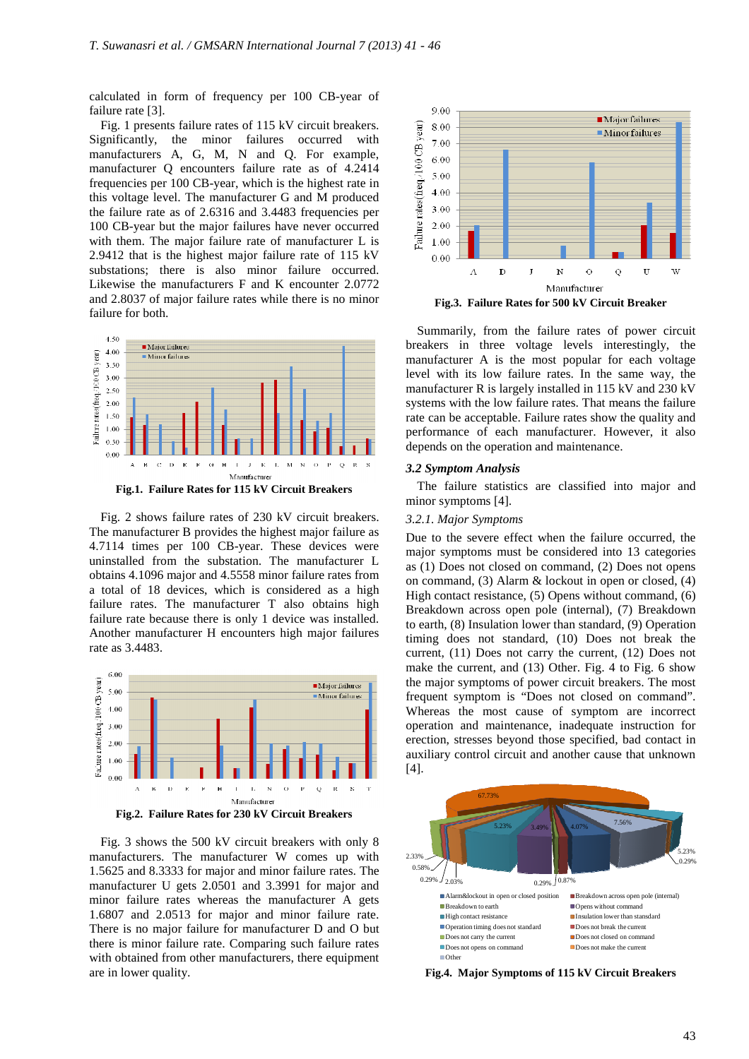calculated in form of frequency per 100 CB-year of failure rate [3].

Fig. 1 presents failure rates of 115 kV circuit breakers. Significantly, the minor failures occurred with manufacturers A, G, M, N and Q. For example, manufacturer Q encounters failure rate as of 4.2414 frequencies per 100 CB-year, which is the highest rate in this voltage level. The manufacturer G and M produced the failure rate as of 2.6316 and 3.4483 frequencies per 100 CB-year but the major failures have never occurred with them. The major failure rate of manufacturer L is 2.9412 that is the highest major failure rate of 115 kV substations; there is also minor failure occurred. Likewise the manufacturers F and K encounter 2.0772 and 2.8037 of major failure rates while there is no minor failure for both.



**Fig.1. Failure Rates for 115 kV Circuit Breakers** 

Fig. 2 shows failure rates of 230 kV circuit breakers. The manufacturer B provides the highest major failure as 4.7114 times per 100 CB-year. These devices were uninstalled from the substation. The manufacturer L obtains 4.1096 major and 4.5558 minor failure rates from a total of 18 devices, which is considered as a high failure rates. The manufacturer T also obtains high failure rate because there is only 1 device was installed. Another manufacturer H encounters high major failures rate as 3.4483.



Fig. 3 shows the 500 kV circuit breakers with only 8 manufacturers. The manufacturer W comes up with 1.5625 and 8.3333 for major and minor failure rates. The manufacturer U gets 2.0501 and 3.3991 for major and minor failure rates whereas the manufacturer A gets 1.6807 and 2.0513 for major and minor failure rate. There is no major failure for manufacturer D and O but there is minor failure rate. Comparing such failure rates with obtained from other manufacturers, there equipment are in lower quality.



**Fig.3. Failure Rates for 500 kV Circuit Breaker** 

Summarily, from the failure rates of power circuit breakers in three voltage levels interestingly, the manufacturer A is the most popular for each voltage level with its low failure rates. In the same way, the manufacturer R is largely installed in 115 kV and 230 kV systems with the low failure rates. That means the failure rate can be acceptable. Failure rates show the quality and performance of each manufacturer. However, it also depends on the operation and maintenance.

#### *3.2 Symptom Analysis*

The failure statistics are classified into major and minor symptoms [4].

## *3.2.1. Major Symptoms*

Due to the severe effect when the failure occurred, the major symptoms must be considered into 13 categories as (1) Does not closed on command, (2) Does not opens on command, (3) Alarm & lockout in open or closed, (4) High contact resistance, (5) Opens without command, (6) Breakdown across open pole (internal), (7) Breakdown to earth, (8) Insulation lower than standard, (9) Operation timing does not standard, (10) Does not break the current, (11) Does not carry the current, (12) Does not make the current, and (13) Other. Fig. 4 to Fig. 6 show the major symptoms of power circuit breakers. The most frequent symptom is "Does not closed on command". Whereas the most cause of symptom are incorrect operation and maintenance, inadequate instruction for erection, stresses beyond those specified, bad contact in auxiliary control circuit and another cause that unknown [4].



**Fig.4. Major Symptoms of 115 kV Circuit Breakers**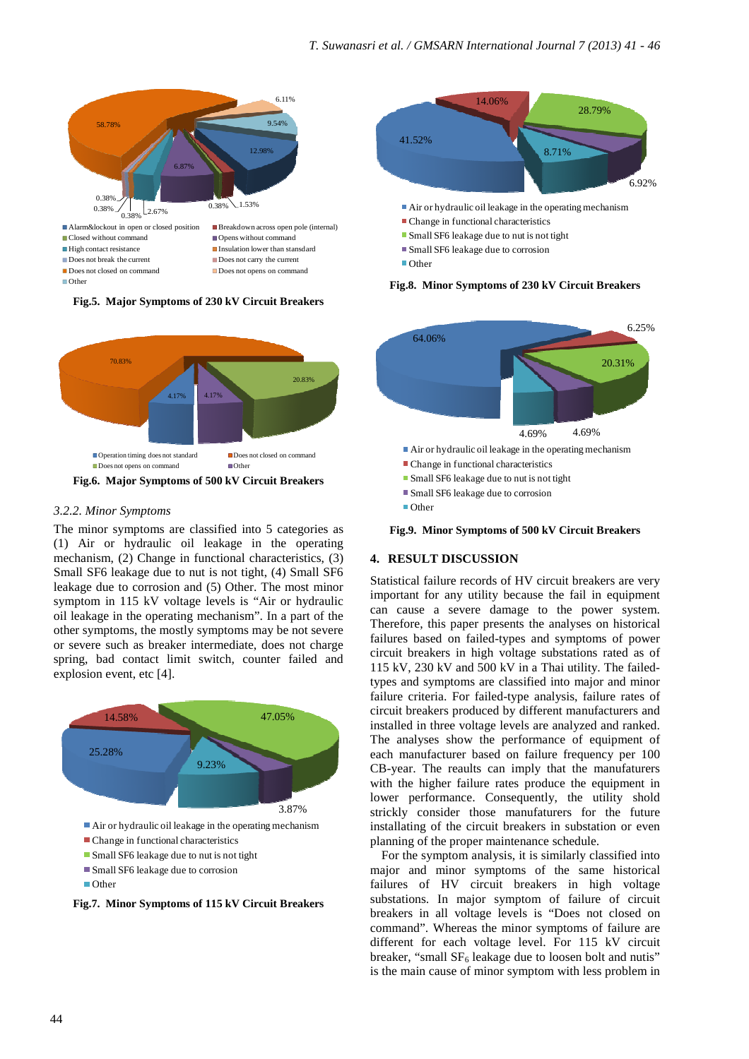





**Fig.6. Major Symptoms of 500 kV Circuit Breakers** 

# *3.2.2. Minor Symptoms*

The minor symptoms are classified into 5 categories as (1) Air or hydraulic oil leakage in the operating mechanism, (2) Change in functional characteristics, (3) Small SF6 leakage due to nut is not tight, (4) Small SF6 leakage due to corrosion and (5) Other. The most minor symptom in 115 kV voltage levels is "Air or hydraulic oil leakage in the operating mechanism". In a part of the other symptoms, the mostly symptoms may be not severe or severe such as breaker intermediate, does not charge spring, bad contact limit switch, counter failed and explosion event, etc [4].



- Small SF6 leakage due to nut is not tight
- Small SF6 leakage due to corrosion

■ Other





**Fig.8. Minor Symptoms of 230 kV Circuit Breakers** 



**Fig.9. Minor Symptoms of 500 kV Circuit Breakers** 

# **4. RESULT DISCUSSION**

Statistical failure records of HV circuit breakers are very important for any utility because the fail in equipment can cause a severe damage to the power system. Therefore, this paper presents the analyses on historical failures based on failed-types and symptoms of power circuit breakers in high voltage substations rated as of 115 kV, 230 kV and 500 kV in a Thai utility. The failedtypes and symptoms are classified into major and minor failure criteria. For failed-type analysis, failure rates of circuit breakers produced by different manufacturers and installed in three voltage levels are analyzed and ranked. The analyses show the performance of equipment of each manufacturer based on failure frequency per 100 CB-year. The reaults can imply that the manufaturers with the higher failure rates produce the equipment in lower performance. Consequently, the utility shold strickly consider those manufaturers for the future installating of the circuit breakers in substation or even planning of the proper maintenance schedule.

For the symptom analysis, it is similarly classified into major and minor symptoms of the same historical failures of HV circuit breakers in high voltage substations. In major symptom of failure of circuit breakers in all voltage levels is "Does not closed on command". Whereas the minor symptoms of failure are different for each voltage level. For 115 kV circuit breaker, "small  $SF<sub>6</sub>$  leakage due to loosen bolt and nutis" is the main cause of minor symptom with less problem in